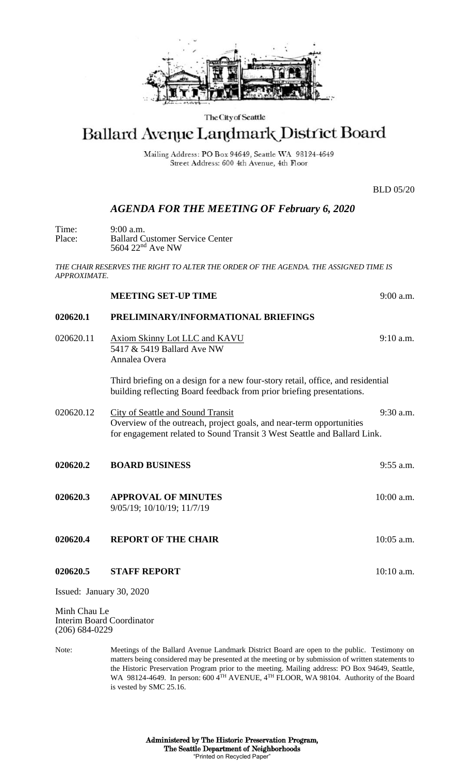

#### The City of Seattle

# Ballard Avenue Landmark District Board

Mailing Address: PO Box 94649, Seattle WA 98124-4649 Street Address: 600 4th Avenue, 4th Floor

BLD 05/20

## *AGENDA FOR THE MEETING OF February 6, 2020*

Time: 9:00 a.m.<br>Place: Ballard C Place: Ballard Customer Service Center 5604 22<sup>nd</sup> Ave NW

*THE CHAIR RESERVES THE RIGHT TO ALTER THE ORDER OF THE AGENDA. THE ASSIGNED TIME IS APPROXIMATE.*

#### **MEETING SET-UP TIME** 9:00 a.m.

### **020620.1 PRELIMINARY/INFORMATIONAL BRIEFINGS**

020620.11 Axiom Skinny Lot LLC and KAVU 9:10 a.m. 5417 & 5419 Ballard Ave NW Annalea Overa

> Third briefing on a design for a new four-story retail, office, and residential building reflecting Board feedback from prior briefing presentations.

- 020620.12 City of Seattle and Sound Transit 9:30 a.m. Overview of the outreach, project goals, and near-term opportunities for engagement related to Sound Transit 3 West Seattle and Ballard Link.
- **020620.2 BOARD BUSINESS** 9:55 a.m. **020620.3 APPROVAL OF MINUTES** 10:00 a.m. 9/05/19; 10/10/19; 11/7/19

**020620.4 REPORT OF THE CHAIR 10:05 a.m.** 

**020620.5 STAFF REPORT** 10:10 a.m.

Issued: January 30, 2020

Minh Chau Le Interim Board Coordinator (206) 684-0229

Note: Meetings of the Ballard Avenue Landmark District Board are open to the public. Testimony on matters being considered may be presented at the meeting or by submission of written statements to the Historic Preservation Program prior to the meeting. Mailing address: PO Box 94649, Seattle, WA 98124-4649. In person: 600 4<sup>TH</sup> AVENUE, 4<sup>TH</sup> FLOOR, WA 98104. Authority of the Board is vested by SMC 25.16.